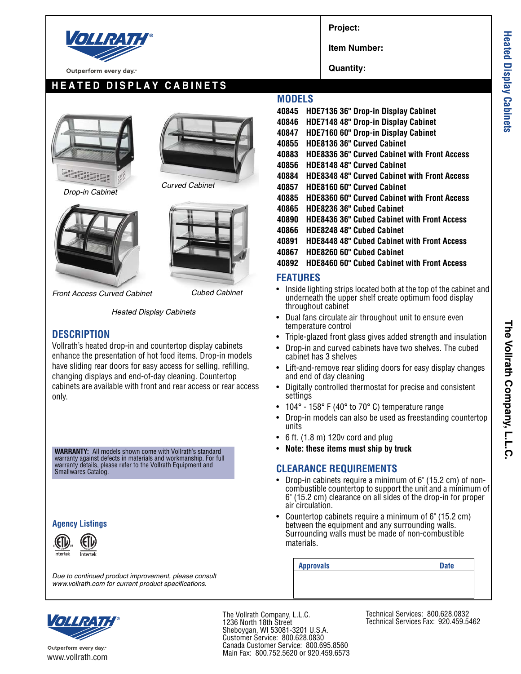

Outperform every day.

# **HEATED DISPLAY CABINETS**



*Drop-in Cabinet*







*Front Access Curved Cabinet Cubed Cabinet*

*Heated Display Cabinets*

#### **DESCRIPTION**

Vollrath's heated drop-in and countertop display cabinets enhance the presentation of hot food items. Drop-in models have sliding rear doors for easy access for selling, refilling, changing displays and end-of-day cleaning. Countertop cabinets are available with front and rear access or rear access only.

**WARRANTY:** All models shown come with Vollrath's standard warranty against defects in materials and workmanship. For full warranty details, please refer to the Vollrath Equipment and Smallwares Catalog.

#### **Agency Listings**



*Due to continued product improvement, please consult*

**Project:**

**Item Number:**

**Quantity:**

### **MODELS**

**40845 HDE7136 36" Drop-in Display Cabinet 40846 HDE7148 48" Drop-in Display Cabinet 40847 HDE7160 60" Drop-in Display Cabinet 40855 HDE8136 36" Curved Cabinet 40883 HDE8336 36" Curved Cabinet with Front Access 40856 HDE8148 48" Curved Cabinet 40884 HDE8348 48" Curved Cabinet with Front Access 40857 HDE8160 60" Curved Cabinet 40885 HDE8360 60" Curved Cabinet with Front Access 40865 HDE8236 36" Cubed Cabinet 40890 HDE8436 36" Cubed Cabinet with Front Access 40866 HDE8248 48" Cubed Cabinet 40891 HDE8448 48" Cubed Cabinet with Front Access 40867 HDE8260 60" Cubed Cabinet 40892 HDE8460 60" Cubed Cabinet with Front Access**

#### **FEATURES**

- Inside lighting strips located both at the top of the cabinet and underneath the upper shelf create optimum food display throughout cabinet
- Dual fans circulate air throughout unit to ensure even temperature control
- Triple-glazed front glass gives added strength and insulation
- Drop-in and curved cabinets have two shelves. The cubed cabinet has 3 shelves
- Lift-and-remove rear sliding doors for easy display changes and end of day cleaning
- Digitally controlled thermostat for precise and consistent settings
- 104 $\degree$  158 $\degree$  F (40 $\degree$  to 70 $\degree$  C) temperature range
- Drop-in models can also be used as freestanding countertop units
- $\bullet$  6 ft. (1.8 m) 120v cord and plug
- **Note: these items must ship by truck**

#### **CLEARANCE REQUIREMENTS**

- Drop-in cabinets require a minimum of 6" (15.2 cm) of noncombustible countertop to support the unit and a minimum of 6" (15.2 cm) clearance on all sides of the drop-in for proper air circulation.
- Countertop cabinets require a minimum of 6" (15.2 cm) between the equipment and any surrounding walls. Surrounding walls must be made of non-combustible materials.

**Approvals Date**

*www.vollrath.com for current product specifications.*



Outperform every day. www.vollrath.com The Vollrath Company, L.L.C. 1236 North 18th Street Sheboygan, WI 53081-3201 U.S.A. Customer Service: 800.628.0830 Canada Customer Service: 800.695.8560 Main Fax: 800.752.5620 or 920.459.6573

Technical Services: 800.628.0832 Technical Services Fax: 920.459.5462